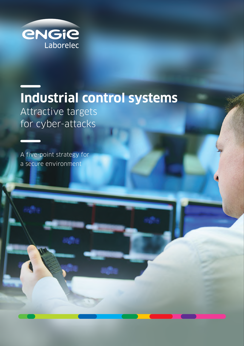

# **Industrial control systems** Attractive targets for cyber-attacks

A five-point strategy for a secure environment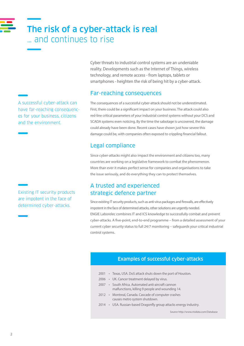## The risk of a cyber-attack is real … and continues to rise

A successful cyber-attack can have far-reaching consequences for your business, citizens and the environment.

Existing IT security products are impotent in the face of determined cyber-attacks.

Cyber threats to industrial control systems are an undeniable reality. Developments such as the Internet of Things, wireless technology, and remote access - from laptops, tablets or smartphones - heighten the risk of being hit by a cyber-attack.

### Far-reaching consequences

The consequences of a successful cyber-attack should not be underestimated. First, there could be a significant impact on your business. The attack could also red-line critical parameters of your industrial control systems without your DCS and SCADA systems even noticing. By the time the sabotage is uncovered, the damage could already have been done. Recent cases have shown just how severe this damage could be, with companies often exposed to crippling financial fallout.

## Legal compliance

Since cyber-attacks might also impact the environment and citizens too, many countries are working on a legislative framework to combat the phenomenon. More than ever it makes perfect sense for companies and organisations to take the issue seriously, and do everything they can to protect themselves.

### A trusted and experienced strategic defence partner

Since existing IT security products, such as anti-virus packages and firewalls, are effectively impotent in the face of determined attacks, other solutions are urgently needed. ENGIE Laborelec combines IT and ICS knowledge to successfully combat and prevent cyber-attacks. A five-point, end-to-end programme – from a detailed assessment of your current cyber security status to full 24/7 monitoring – safeguards your critical industrial control systems.

### Examples of successful cyber-attacks

- 2001 Texas, USA. DoS attack shuts down the port of Houston.
- 2006 UK. Cancer treatment delayed by virus.
- 2007 South Africa. Automated anti-aircraft cannon malfunctions, killing 9 people and wounding 14.
- 2012 Montreal, Canada. Cascade of computer crashes causes metro system shutdown.
- 2014 USA. Russian-based Dragonfly group attacks energy industry.

Source http://www.risidata.com/Database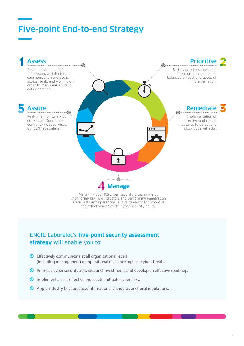## Five-point End-to-end Strategy



Hack Tests and operational audits to verify and improve the effectiveness of the cyber security policy.

### ENGIE Laborelec's **five-point security assessment strategy** will enable you to:

- $\odot$  Effectively communicate at all organisational levels (including management) on operational resilience against cyber threats.
- $\odot$  Prioritise cyber security activities and investments and develop an effective roadmap.
- $\odot$  Implement a cost-effective process to mitigate cyber risks.
- **1** Apply industry best practice, international standards and local regulations.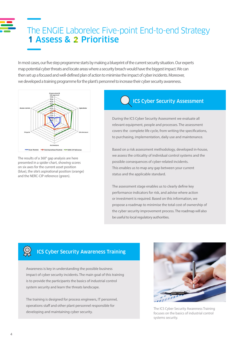## The ENGIE Laborelec Five-point End-to-end Strategy **1 Assess & 2 Prioritise**

In most cases, our five step programme starts by making a blueprint of the current security situation. Our experts map potential cyber threats and locate areas where a security breach would have the biggest impact. We can then set up a focused and well-defined plan of action to minimise the impact of cyber incidents. Moreover, we developed a training programme for the plant's personnel to increase their cyber security awareness.



The results of a 360° gap analysis are here presented in a spider chart, showing scores on six axes for the current asset position (blue), the site's aspirational position (orange) and the NERC-CIP reference (green).

## ICS Cyber Security Assessment

During the ICS Cyber Security Assessment we evaluate all relevant equipment, people and processes. The assessment covers the complete life cycle, from writing the specifications, to purchasing, implementation, daily use and maintenance.

Based on a risk assessment methodology, developed in-house, we assess the criticality of individual control systems and the possible consequences of cyber-related incidents. This enables us to map any gap between your current status and the applicable standard.

The assessment stage enables us to clearly define key performance indicators for risk, and advise where action or investment is required. Based on this information, we propose a roadmap to minimise the total cost of ownership of the cyber security improvement process. The roadmap will also be useful to local regulatory authorities.

## ICS Cyber Security Awareness Training

Awareness is key in understanding the possible business impact of cyber security incidents. The main goal of this training is to provide the participants the basics of industrial control system security and learn the threats landscape.

The training is designed for process engineers, IT personnel, operations staff and other plant personnel responsible for developing and maintaining cyber security.



The ICS Cyber Security Awareness Training focuses on the basics of industrial control systems security.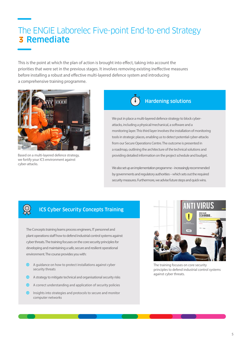## The ENGIE Laborelec Five-point End-to-end Strategy **3 Remediate**

This is the point at which the plan of action is brought into effect, taking into account the priorities that were set in the previous stages. It involves removing existing ineffective measures before installing a robust and effective multi-layered defence system and introducing a comprehensive training programme.



Based on a multi-layered defence strategy, we fortify your ICS environment against cyber-attacks.

**EO3** 



### Hardening solutions

We put in place a multi-layered defence strategy to block cyberattacks, including a physical/mechanical, a software and a monitoring layer. This third layer involves the installation of monitoring tools in strategic places, enabling us to detect potential cyber-attacks from our Secure Operations Centre. The outcome is presented in a roadmap, outlining the architecture of the technical solutions and providing detailed information on the project schedule and budget.

We also set up an implementation programme – increasingly recommended by governments and regulatory authorities – which sets out the required security measures. Furthermore, we advise future steps and quick wins.

### ICS Cyber Security Concepts Training

The Concepts training learns process engineers, IT personnel and plant operations staff how to defend industrial control systems against cyber threats. The training focuses on the core security principles for developing and maintaining a safe, secure and resilient operational environment. The course provides you with:

- $\odot$  A guidance on how to protect installations against cyber security threats
- $\bullet$  A strategy to mitigate technical and organisational security risks
- ' A correct understanding and application of security policies
- $\odot$  Insights into strategies and protocols to secure and monitor computer networks



The training focuses on core security principles to defend industrial control systems against cyber threats.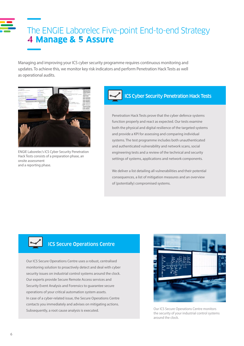## The ENGIE Laborelec Five-point End-to-end Strategy **4 Manage & 5 Assure**

Managing and improving your ICS cyber security programme requires continuous monitoring and updates. To achieve this, we monitor key risk indicators and perform Penetration Hack Tests as well as operational audits.



ENGIE Laborelec's ICS Cyber Security Penetration Hack Tests consists of a preparation phase, an onsite assessment and a reporting phase.

## ICS Cyber Security Penetration Hack Tests

Penetration Hack Tests prove that the cyber defence systems function properly and react as expected. Our tests examine both the physical and digital resilience of the targeted systems and provide a KPI for assessing and comparing individual systems. The test programme includes both unauthenticated and authenticated vulnerability and network scans, social engineering tests and a review of the technical and security settings of systems, applications and network components.

We deliver a list detailing all vulnerabilities and their potential consequences, a list of mitigation measures and an overview of (potentially) compromised systems.



### ICS Secure Operations Centre

Our ICS Secure Operations Centre uses a robust, centralised monitoring solution to proactively detect and deal with cyber security issues on industrial control systems around the clock. Our experts provide Secure Remote Access services and Security Event Analysis and Forensics to guarantee secure operations of your critical automation system assets. In case of a cyber-related issue, the Secure Operations Centre contacts you immediately and advises on mitigating actions. Subsequently, a root cause analysis is executed. Contract the Cour ICS Secure Operations Centre monitors



the security of your industrial control systems around the clock.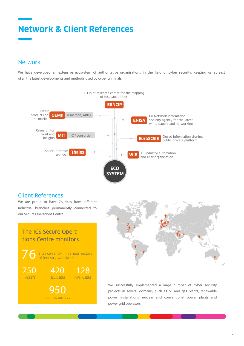## **Network & Client References**

### Network

We have developed an extensive ecosystem of authoritative organisations in the field of cyber security, keeping us abreast of all the latest developments and methods used by cyber criminals.



#### Client References

We are proud to have 76 sites from different industrial branches permanently connected to our Secure Operations Centre.





We successfully implemented a large number of cyber security projects in several domains, such as oil and gas plants, renewable power installations, nuclear and conventional power plants and power grid operators.